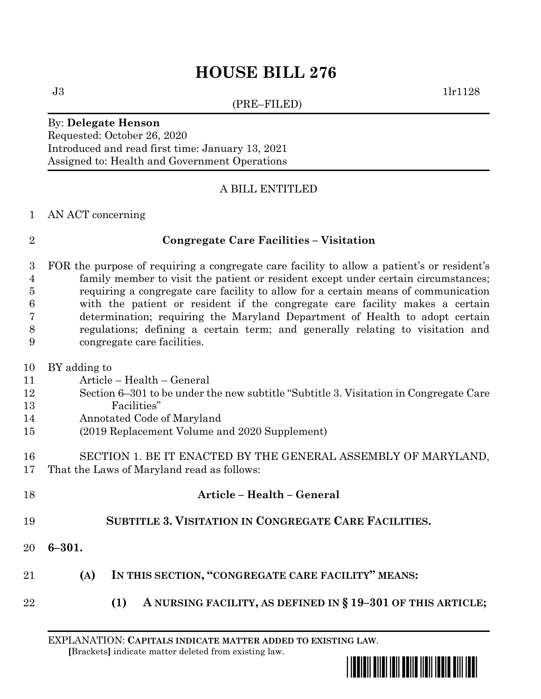# **HOUSE BILL 276**

(PRE–FILED)

 $J3$  1lr1128

### By: **Delegate Henson**

Requested: October 26, 2020 Introduced and read first time: January 13, 2021 Assigned to: Health and Government Operations

# A BILL ENTITLED

### AN ACT concerning

# **Congregate Care Facilities – Visitation**

 FOR the purpose of requiring a congregate care facility to allow a patient's or resident's family member to visit the patient or resident except under certain circumstances; requiring a congregate care facility to allow for a certain means of communication with the patient or resident if the congregate care facility makes a certain determination; requiring the Maryland Department of Health to adopt certain regulations; defining a certain term; and generally relating to visitation and congregate care facilities.

- BY adding to Article – Health – General
- Section 6–301 to be under the new subtitle "Subtitle 3. Visitation in Congregate Care Facilities"
- Annotated Code of Maryland
- (2019 Replacement Volume and 2020 Supplement)
- SECTION 1. BE IT ENACTED BY THE GENERAL ASSEMBLY OF MARYLAND, That the Laws of Maryland read as follows:
- **Article – Health – General SUBTITLE 3. VISITATION IN CONGREGATE CARE FACILITIES. 6–301.**
- **(A) IN THIS SECTION, "CONGREGATE CARE FACILITY" MEANS:**
- **(1) A NURSING FACILITY, AS DEFINED IN § 19–301 OF THIS ARTICLE;**

EXPLANATION: **CAPITALS INDICATE MATTER ADDED TO EXISTING LAW**.  **[**Brackets**]** indicate matter deleted from existing law.

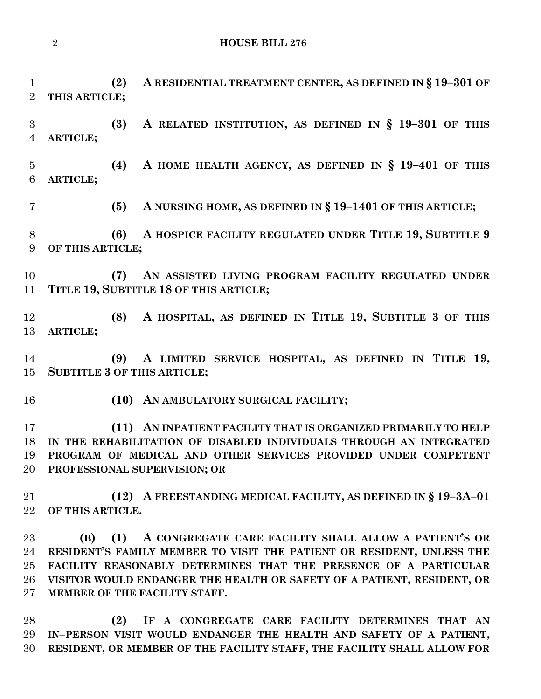```
2 HOUSE BILL 276
```
**(2) A RESIDENTIAL TREATMENT CENTER, AS DEFINED IN § 19–301 OF** 

 **THIS ARTICLE; (3) A RELATED INSTITUTION, AS DEFINED IN § 19–301 OF THIS ARTICLE; (4) A HOME HEALTH AGENCY, AS DEFINED IN § 19–401 OF THIS ARTICLE; (5) A NURSING HOME, AS DEFINED IN § 19–1401 OF THIS ARTICLE; (6) A HOSPICE FACILITY REGULATED UNDER TITLE 19, SUBTITLE 9 OF THIS ARTICLE; (7) AN ASSISTED LIVING PROGRAM FACILITY REGULATED UNDER TITLE 19, SUBTITLE 18 OF THIS ARTICLE; (8) A HOSPITAL, AS DEFINED IN TITLE 19, SUBTITLE 3 OF THIS ARTICLE; (9) A LIMITED SERVICE HOSPITAL, AS DEFINED IN TITLE 19, SUBTITLE 3 OF THIS ARTICLE; (10) AN AMBULATORY SURGICAL FACILITY; (11) AN INPATIENT FACILITY THAT IS ORGANIZED PRIMARILY TO HELP IN THE REHABILITATION OF DISABLED INDIVIDUALS THROUGH AN INTEGRATED PROGRAM OF MEDICAL AND OTHER SERVICES PROVIDED UNDER COMPETENT PROFESSIONAL SUPERVISION; OR (12) A FREESTANDING MEDICAL FACILITY, AS DEFINED IN § 19–3A–01 OF THIS ARTICLE. (B) (1) A CONGREGATE CARE FACILITY SHALL ALLOW A PATIENT'S OR RESIDENT'S FAMILY MEMBER TO VISIT THE PATIENT OR RESIDENT, UNLESS THE** 

 **FACILITY REASONABLY DETERMINES THAT THE PRESENCE OF A PARTICULAR VISITOR WOULD ENDANGER THE HEALTH OR SAFETY OF A PATIENT, RESIDENT, OR MEMBER OF THE FACILITY STAFF.**

 **(2) IF A CONGREGATE CARE FACILITY DETERMINES THAT AN IN–PERSON VISIT WOULD ENDANGER THE HEALTH AND SAFETY OF A PATIENT, RESIDENT, OR MEMBER OF THE FACILITY STAFF, THE FACILITY SHALL ALLOW FOR**